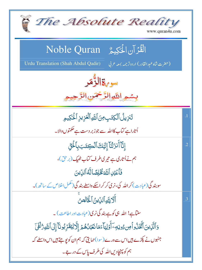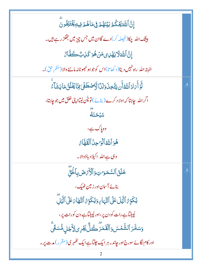ٳؚڹؓٲڷڶٙؿؘػؙػ۠ۿؚڹؽٙٮؘ۬ۿ۠۠ؗؗؗٙۿۏڣڡؘٲۿ۠ۿۯڣۣۑۊؚڲؘٛؾٙڶؚڨٛۅڹؖ بیٹنک اللہ چکا(فیصلہ کر) دے گاان میں جس چیز میں جھگڑ رہے ہیں۔ ٳۣڹٞٳڸؾٙڂڷٳؾۿٙڸؽڡؘڹۿۊػٙڹؚڮٛڂۜڡٚٙٵ البته الله راه نہیں دیتا( د کھاتا)اس کوجوہو حجھوٹانہ ماننے والا (منگر حق)۔ لَّوۡ أَيَٰٓادَٱللَّهُۚ أَن يَتَّخِذَ وَلَدًا لَّٱصۡطَفَىٰ مِمَّا يَخۡلُقُ مَا يَشَآءُ اگر اللہ چاہتا کہ اولاد کرے (بنائے) تو چُن لیتااپنی خلق میں جو جاہتا، ؊ وه پاک ہے، هُوَ ٱللَّهُ ٱلۡرَّحِنُ ٱلۡقَهَّارُ وہی ہے اللہ اکیلا دباؤوالا۔ خَلَقَ ٱلسَّمَوَاتِ وَٱلۡأَيۡهَضَ بِٱلۡلَٰٓئِ بنائے آسان اور زمین ٹھیک، يُكَوِِّنُ ٱلَّيَٰلَ عَلَى ٱلنَّهَارِ، وَيُكَوِّنُ ٱلنَّهَا بَهَلَ ٱلَّيَٰلَ لپیٹیآہے رات کو دن پر،اور لپیٹیآہے دن کورات پر، ۏ*ۺڂؖۯ*ٲڵۺۨٞڡؘٛۺۏٲڷڦؘڡؘۯؖڂڴڵٛڲؘۯؚۑٳڒؘۢڿڸۿ۠ۺڰۨٙۨ اور کام لگائے سورج اور جاند۔ ہر ایک جلتا ہے ایک ٹھہر کی (مقرر ) مدت پر۔  $\overline{2}$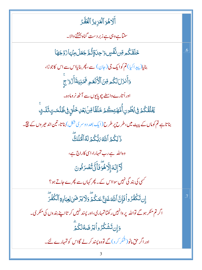أَلَاهُوَ ٱلۡعَزِيزُ ٱلۡغَفَّـرُ سنتاہے وہی ہے زبر دست گناہ بخشنے والا۔ <mark>ڬ</mark>ؘڶڡؘٞػ۠ۄڡؚۜڹٮۨڣؘٞڛۣۊٳڿڹۊؚٚڐؙڋڿؘۼڶ؋ؚڹؘۛؠؘٵۯؘۯ۫ڿۿٵ .6 بنایا(پیداکیا)تم کوایک جی(جان) سے، پھر بنایااس سے اس کاجوڑا، وَأَنزَلَ لَكُم مِّنَ ٱلْأَنۡعَمِ ثَمَنِيَةَأَزۡوَاجَ اوراُ تارے داسطے چوپایوں سے آٹھ نر ومادہ۔ <u>ڲ</u>ؘڶ۠ڦۢػ۠ۮ؋ۣؠ۠ڟؙۅڹٲ۠ؗڡؖۿؾؚٮڴؽڂڶٙڦؑٲڡؚۜڹۢڹػڸڂۘڶڗؚ؋ۣڟ۠ڵڡٮؾٟڎؘڶٮؿٟ بناتاہے تم کوماں کے پیٹ میں،طرح پر طرح(ایک بعد دوسر کی شکل) بناتا، تین اند حیر وں کے نیچ ۔ ذَالِكُمُ ٱللَّهُ ٱلْكُمُ لَهُ ٱلۡمُلۡكُ وہ اللہ ہے رب تمہارا،اسی کاراج ہے، لَّا إِلَهَ إِلَّا هُوَ ۖ فَأَنَّى تُصُرَفُونَ <sup>کس</sup>ی کی بند گی نہیں سوااس کے۔ پھر کہاں سے پ*ھرے ج*اتے ہو؟ ٳۣڹڗػۘػ۫ڡ۠ۯۅٱڣٳ۪ڹٞٳڷڷڡٙٷٙڹۣ۠ۼڹػٛ۠ڋۄؘڶاؾۯڞؘڸڸۼڹٳۮؚۅٚٲڶػٛڣ۫ڗؖ .7 اگر تم منکر ہوگے نواللہ پر دانہیں رکھتاتمہاری،اور پسند نہیں کر تااپنے بند وں کی منکر ک۔ <u>وَإِن</u>تَشَكُرُواْيَرْضَةُلكُمْ اور اگر حق مانو( شگر کر و) گے تووہ پسند کرلے گااس کو تمہارے لئے۔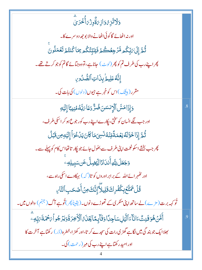| <b>وَلَاتَزِهُ وَازِىَةٌوِزُىَأْجُرَىٰ</b>                                                                   |                |
|--------------------------------------------------------------------------------------------------------------|----------------|
| اور نہ اٹھائے گا کوئی اٹھانے والا بو جھ دوسرے کا۔                                                            |                |
| ڷؙڐۜٳؚڸٙ؆ڹؚۨػۢڡ؋ڷۯڿؚڂڟؗڿۯڣؘێڹؚۜڹ۠ػۢػڡ؏؆ٵػۢٮ۬ؾ۠ڿڗٙڡؘۼڡؘڶۅڹؘ                                                   |                |
| پھراپنےرب کی طرف تم کو پھر (لوٹ) جاناہے،تووہ جبائے گاتم کوجو کرتے تھے۔                                       |                |
| إِنَّهُ عَلِيهُ بِذَاتِ الصُّدُورِ                                                                           |                |
| مقرر (بیٹیک)اس کو خبر ہے جیوں ( دلوں ) کی بات کی۔                                                            |                |
| وَإِذَامَسَّ ٱلْإِنسَ <i>نَ ضُرٌّ دَعَا بَ</i> لَّهُ مُنِيبًا إِلَيْهِ                                       | $\overline{8}$ |
| اور جب لگے انسان کو سختی، پکارے اپنے رب کور جوع ہو کر اسکی طرف،                                              |                |
| ثُمَّ إِذَا خَوَّلَهُ نِعۡمَةً مِّنۡهُ نَسِىٓمَا كَانَ يَدۡ عُوَاۡ إِلَيۡهِ مِن قَبَلُ                       |                |
| پھر جب بخشے اسکو نعمت اپنی طرف سے بھُول جائے جو پکار تا تھااس کام کو پہلے سے۔                                |                |
| <b>وَجَعَلَ لِلَّهِ أَنْدَادًا لِيَّضِلَّ عَن سَبِيلِهِ</b>                                                  |                |
| اور تٹھہرائےاللہ کے برابر اوروں کو تا( کہ ) بہکاوے اسکی راہ سے،                                              |                |
| <b>قُلۡ يَمَتَّعۡنِكُفُرِكَ تَلِيلاَّ إِنَّكَ مِنۡ أَصۡ حَبِ ٱلتَّا</b> َىِ                                  |                |
| تُو کہہ برت(مزے)لے ساتھ اپنی منکری کے تھوڑے دنوں۔(یقیناً پھر)تُوہے آگ(جہنم) والوں میں۔                       |                |
| أَمَّنَ هُوَقَنِتٌ ءَانَآءَ ٱلَّيۡلِ سَاجِدًاوَقَآلٍمَّا يَجۡلَىٰٓ ٱلۡأَخِرَةَوَيَرۡ جُواۡ مَحۡمَةَ مَبِّدِۦ | 9              |
| بھلاا یک جو بند گی میں لگاہے گھڑ <sub>کی</sub> رات کی سجدے کر تا،اور کھڑ ا،خطرہ(ڈر) رکھتاہے آخر ت کا         |                |
| اور امید رکھتاہے اپنے رب کی مہر (رحمت) کی۔                                                                   |                |
|                                                                                                              |                |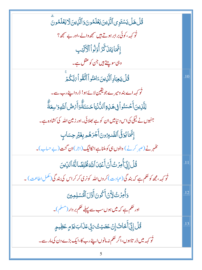| <i>ۊ۠</i> ڷۿڶٙڮۺؾؘۅؚۑٱڷۜڕٛؠڹؘؾؘػڶۿۅڹؘۏٲڷۜڕٛؠڹؘڷٲؾؘڡڶۿۅڹؖ                             |     |
|--------------------------------------------------------------------------------------|-----|
| ٹو کہہ ، کوئی برابر ہوتے ہیں سمجھ دالے ،اور بے سمجھ؟                                 |     |
| إِنَّهَايَتَنَكَّرُ أُوَلُواْ الْأَلَبَبِ                                            |     |
| وہی سوچتے ہیں جن کو عقل ہے۔                                                          |     |
| <u>ػۛ۠ڶٙ۩ۣٮ</u> ڮٵۮٟٱڷۜۯؚؠڹؘٵؚڡؘٮ۠ۢۅٲٲڐؖڟٞۅٲ؆ڹۜػٛؽٙۨ                                 | .10 |
| ٹو <sub>ک</sub> ہہ اے بند ومیرے جویقین لائے ہو! ڈرواپنے رب سے۔                       |     |
| ڸڵؖڶؚٳؽڹؘٲۜڂۺڹؙۅٲڣۣۿؘڶؚ؋ؚٲڶڷۨ۠ڹؙؾ۪ٳڂۺؾٞؖٞۊٲؘۜؠٛڞٛٲڷڷؘۏؚۊٳڛؚۼۜڐٞٛ                     |     |
| جنہوں نے نیکی کی اس د نیامیں ان کو ہے بھلائی۔اور زمین اللہ کی کشادہ ہے۔              |     |
| إِنَّمَا يُوَفَّى ٱلصَّدِرُونَ أَجْرَهُمْ بِغَيْرِ حِسَابٍ                           |     |
| کٹمہر نے (صبر کرنے ) والوں ہی کوملناہے انکانیگ (اجر)ان گنت (بے حساب)۔                |     |
| <b>ٙٷٞڶٳڐۣۜٲؘ</b> ۠ڡؚۯٮؾ۠ٲٛڽ۫ٲۧۼؠ۠ڹٲڛڐڴۏؚڶڝۜٛٵڷۮٲڵڸۨؾڹ                               | .11 |
| ثو کہہ،مجھ کو حکم ہے کہ بند گی(عبادت)کروںاللّٰہ کونری کرکراس کی بند گی(مکمل اطاعت) ۔ |     |
| وَأُمِرُتُ لِأَنۡ أَكُونَ أَقَالَ ٱلۡمُسۡلِمِینَ                                     | .12 |
| اور حکم ہے کہ میں ہوں سب سے پہلے حکم بر دار (مسلم )۔                                 |     |
| ۛڐؙڵٳڋۣۜٲۜڂؘٳٮؙٳؚۣڶ <i>ػ</i> ڡؘڟڸ <i>ڎ</i> ۼڞؽٮ۠؆۪ۑۨ۠ڡؘڷٳٮٜؾٷڡٟ؏ؘڟۣۑۄؚ               | .13 |
| تُو کہہ میں ڈر تاہوں،اگر حکم نہ مانوں اپنے رب کا،ایک بڑے دن کی مار سے۔               |     |
|                                                                                      |     |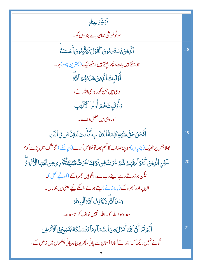| فَبَشِّرُ عِبَادِ                                                                                                       |     |
|-------------------------------------------------------------------------------------------------------------------------|-----|
| سوٹُوخوشْی <sub>شن</sub> امیرے بند وں کو۔                                                                               |     |
| ٱلَّٰٓزِينَ يَسۡتَمِعُونَ ٱلۡقَوۡلَ فَيَتَّبِعُونَ أَحۡسَنَكُمْ                                                         | .18 |
| جوسنتے ہیں بات، پھر چلتے ہیں اسکے نیک (بہترین پہلو) پر۔                                                                 |     |
| أَوۡلَٰٓبِكَ ٱلَّٰٓزِينَ هَدَاهُمُ ٱللَّهَ                                                                              |     |
| وہی ہیں جن کوراہ دی اللہ نے،                                                                                            |     |
| <u>وَأُوْلَيْكَهُمْ</u> أُوْلُواْ الْأَلْبَبِ                                                                           |     |
| اور وہی ہیں عقل والے۔                                                                                                   |     |
| أَفَمَنۡ حَقَّ عَلَيۡهِ كَلِمَةُۚ ٱلۡعَذَابِ أَفَأَنتَ تُنقِنُ مَن فِى ٱلتَّارِ                                         | .19 |
| بھلاجس پر ٹھیک (چیپاں)ہو چکاعذاب کا حکم بھلاتو خلاص کرے (بچاسکے ) گا آگ میں پڑے کو؟                                     |     |
| ڶػؚڹؚٱڷۜڹۣؾڹؘٱتَّقَوۡٱٓؠؘڹَّهُمۡ لَهُمۡ غُرَتْ مِّنۥفَوۡقِهَاۚ غُرَتْ مَّبۡنِيَّةٌ يَٓجُرِى مِن تَحۡيٓءَا ٱلۡأَنۡهَٰٓرَ | .20 |
| لیکن جوڈرتے رہے اپنے رب سے،انکوہیں جھروکے (اونچے محل)۔                                                                  |     |
| ان پراور جھروکے (بالاخانے) پجنے ہوئے،انکے نیچے حیلتی ہیں ندیاں۔                                                         |     |
| وَعَْدَ ٱللَّهِلَا يُخْلِفُ ٱللَّهُ ٱلْمِيعَادَ                                                                         |     |
| وعده ہوااللہ کا۔اللہ نہیں خلاف کر تاوعدہ۔                                                                               |     |
| أَلَمَ تَرَ أَنَّ ٱللَّهَ أَنزَلَ مِنَ ٱلسَّمَاءِمَآءَ فَسَلَكَهُ يَنَبِيعَ فِى ٱلْأَمۡرَضِ                             |     |
| تُونے نہیں دیکھا کہ اللہ نے اُتارا آسان سے پانی، پھر چلایاوہ پانی چشموں میں زمین کے،                                    |     |
|                                                                                                                         |     |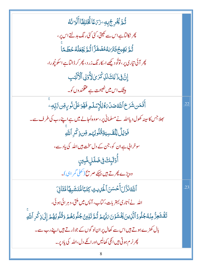| ڷؙ <sub>ڟ</sub> ۜؠؙڂٞڔۣج۠ۑؚڢؚ <sup>ؚ</sup> ڗ <i>ڹ۫</i> ڡٙۢٵڴ۠ۼٙؾڸڡؘٞٲٲۨڶ <del></del> ڗٮ <sup>ؙ</sup> ٮؙٛڡُ                 |     |
|----------------------------------------------------------------------------------------------------------------------------|-----|
| پھر نکالتاہے اس سے کھیتی، کئی کئی رنگ بدلتے اس پر ،                                                                        |     |
| ۛ<br><i>ڎ۠ۄۜۧؽۅۑڿٛ</i> ۏؘٮ <i>ڗٚٮڟڡ۠ڞؘ</i> ڧؘ <i>ڗؖٞ</i> ٵڐٛۄۜڲؘؚۼڷڡ۠ڂڟڡ <i>ٵ</i> ۨ                                        |     |
| پھر آئی تیاری پر، توٹو دیکھے ا <sub>سک</sub> ار نگ زر د، پھر کر ڈالتاہے اسکو <u>چُ</u> ورا،                                |     |
| إِنَّ فِي ذَٰ لِكَ لَلَ كَرَىٰ لِأُوۡلِ ٱلۡأَلۡلِهَبِ                                                                      |     |
| <b>بیٹنگ اس میں نصیحت ہے عظمندوں کو۔</b>                                                                                   |     |
| ٲۜ <b>ٛڡٙ</b> ٙڡؘڹۺؘڔؘڂٱٮڵڷ <i>ڟڞۮڹۿ۠ڶ</i> ؚڶٳ <i>ۭۺڶۄؚ</i> ڣۿٶؘػٙڸ۬؈ٚٛۅٟڛۣۊڹ؉ؚۜڹؚڡؚ                                       | .22 |
| <sup>جعلا جس</sup> کاسینہ کھول دیااللہ نے مسلمانی پر،سووہ اُجالے میں ہے اپنے رب کی طرف سے۔                                 |     |
| فَوَيۡلٌ لِلۡقَسِيَةِقُلُوبُهُم مِّن ذِكۡرِ ٱللَّهِ                                                                        |     |
| سوخرالی ہے ان کو، جن کے دل سخت ہیں اللہ کی یاد سے،                                                                         |     |
| ٲٛۏڷؠ۪ڬ؋ۣۻٙڶڸؚڡ۠ۨڹؚؾۣ                                                                                                      |     |
| وہ پڑے پھرتے ہیں بہکے صر ی <del>ح ( کھلی</del> گمر اہی)۔                                                                   |     |
| ٱللَّهُ نَزَّلَ أَحۡسَنَ ٱلۡحَٰلِيفِ كِتَبَاشَّتَشَبِهَٓاشَّتَٰٓانَ                                                        | .23 |
| اللہ نے اُتاری بہتر بات، کتاب، آپس میں ملتی، دہر ائی ہوئی،                                                                 |     |
| تَقَشَعِرُّ مِنۡهُڂُلُودُٱلَّٰٓٓنِينَڲۡخُشۡوۡنَۥَ $5$ بَّهُمۡ تُۢ تَلِينُ جُلُودُهُمۡ وَقُلُوبُهُمۡۚ إِلَىٰۚذٍكۡرِٱللَّٰهِ |     |
| بال کھڑے ہوتے ہیں اس سے کھال پر ان لو گوں کے جو ڈرتے ہیں اپنے رب سے۔                                                       |     |
| پھر نرم ہوتی ہیں انکی کھالیں اور انکے دل،اللہ کی یادیر۔                                                                    |     |
| 8                                                                                                                          |     |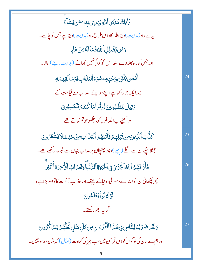| ۮ <sup>ٚٳ</sup> ڸڬۿڶ؈ٱڷؘڷ <i>ٙۅؽؠۧ</i> ڸ <i>ؽ</i> ڹۣڡؚۦڡؘڹؾۺؘٲۜۦ۠                                  |     |
|----------------------------------------------------------------------------------------------------|-----|
| ىيە ہے راہ(ہدايت) ديناالله كا،اس <i>طر</i> ح راہ(ہدايت) ديتا ہے جس كوچاہے۔                         |     |
| وَمَن يُضَٰلِلِ ٱللَّهُ فَمَالَةُ مِنۡ هَادِ                                                       |     |
| اور جس کوراہ بھلادےاللہ اس کو کوئی نہیں بیھانے (ہدایت دینے) والا۔                                  |     |
| أَفَمَن يَتَّقِى بِوَجُهِهِ ۚ سُوَءَ ٱلۡعَٰزَابِ يَوۡمَ ٱلۡقِيَمَةِ                                | .24 |
| <u> عِلاایک جوروکتا ہے اپنے منہ پربُراعذاب دن قیامت کے ۔</u>                                       |     |
| وَقِيلَ لِلظَّلِمِينَ ذُوقُواً مَا كُنتُمَ تَكْسِبُونَ                                             |     |
| اور کہنے بے انصافوں کو، چکھوجو تم کماتے تھے۔                                                       |     |
| كَنَّبَ ٱلَّذِينَ مِن تَبْلِهِمْ فَأَتَّبْهُمُ ٱلْعَذَابُ مِنۡ حَيۡثُولَا يَشۡعُرُونَ              | .25 |
| حمِثلا چکے ان سے اگلے (پہلے )، پھر پہنچااُن پر عذاب جہاں سے خبر نہ رکھتے تھے۔                      |     |
| فَأَذَاقَهُمُ ٱللَّهُ ٱلْخِزۡىَ فِى ٱلٰۡٓكِيَوٰةِ ٱللَّّٰٓنُيَّاۚ وَلَعَذَابُ ٱلۡأَخِرَةِ أَكۡبَرُ | .26 |
| پھر چکھائی ان کواللہ نے رسوائی، دنیاکے جیتے۔اور عذاب آخرت کاتواور بڑاہے،                           |     |
| لَوۡ كَانُوۡ أَيۡعَلَّمُونَ                                                                        |     |
| اگر بہ سمجھ رکھتے۔                                                                                 |     |
| وَلَقَدۡ ضَرَبۡنَالِلنَّاسِ فِى هَذَا ٱلۡقُرۡءَانِ مِن كُلِّ مَثَلٍ لَّعَلَّهُمۡ يَتَنَ كَّرُونَ   | .27 |
| اور ہم نے بیان کی لو گوں کو اس قر آن میں سب چیز کی کہاوت (مثال) کہ شاید وہ سوچیں۔                  |     |
|                                                                                                    |     |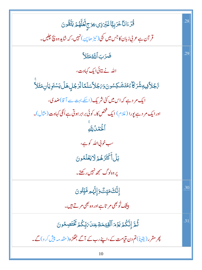قُّدُّءَانَّا عَرَبِيًّا غَيْرَذِي عِوَجِ لَعَلَّهُمَ يَتَّقُونَ 28 قر آن ہے عربی زبان کا جس میں بجی (ٹیڑ ھاین) نہیں، کہ شاید وہ نچ چلیں۔ ضَرَبَ ٱللَّهُ مَثَلاً .29 اللہ نے بتائی ایک کہاوت، ڛَّڮؗڵٲڣۣۑۊؚۺ۫ۘۯؘػۜڵۦٛ۠ۿؾٙۺؘڮۺۏڹؘۏؘڹڿڵٲڛؘڶڡٙٲڵڗڿڸۿڶؙؾۺؾؘۅؚؾٲڹؚ؋ؿؘڵٲ ایک مر دہے کہ اس میں کئی شریک (اسکے بہت سے آ قا)ضد کی، اورایک مر د ہے یورا (غلام) ایک څخص کا۔ کوئی برابر ہوتی ہے اُنگی کہاوت(مثال)۔ ٱلۡكِمۡكُ لِلَّهِ سب خوبي الله کو ہے، بَلۡ أَكۡثَرُهُمۡ لَايَعۡلَمُونَ یر وہ لوگ سمجھ نہیں رکھتے۔ .30 ٳؚڹؖ۠ۜڶٙڂؘڡؘؾٟٮۣ۠ٞٛۘؗۏٳؚڹؙۜ۠ۿ۪ۄڡۜٞؾٟۨؾؙۏڹ بیٹنگ تُو بھی مرتاہے اور وہ بھی مرتے ہیں۔ ڷؙ<sub>ؖڟۜ</sub>ٳؚڹۜؖػۢؽؘ*ؾ*ؘۯۃٲڷۊؚؾڡؘۊۼؚڹڶؘ؆ٜڹۨػۢؽ<sup>ٙ</sup>ػؘٚؿؘڝؚڡ۠ڹ .31 کچر مقرر (یقیناً) تم دن قیامت کے،اپنے رب کے آگے جھگڑ و(مقدمہ پنی کرو)گے۔ 10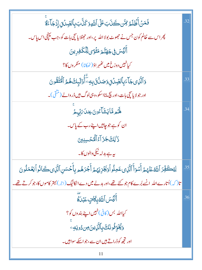| فَمَنۡ أَظۡلَمُ مِّسَ كَنَابَ عَلَى ٱللَّهِوَ كَنَّابَ بِٱلصِّدۡنَ إِذۡ جَآءَةٌ                                           | .32 |
|---------------------------------------------------------------------------------------------------------------------------|-----|
| پھر اس سے ظالم کون جس نے حجھوٹ بولا اللہ پر ،اور حجٹلا یاسچی بات کو، جب پہنچی اس پاس۔                                     |     |
| ؚٲڶ <i>ڲ</i> ؘۺ؋ۣڿۿ <i>ڐۧ</i> ۄؘڡ <sup>ۼ</sup> ۣۘٶڸڷػڣڔؠڹ                                                                 |     |
| كيانهيں دوزخ ميں ئھُہر اوَ(ٹھکانا) منگروں کا؟                                                                             |     |
| <u>و</u> َٱلَّذِى جَاۤءَبِٱلصِّدۡنَ وَصَلَّقَ بِهِۦٓۗأُوۡلَيۡكَ هُمُ ٱلۡتَقۡوَٰنَ                                         | .33 |
| اور جولا يا تىچى بات،اورىچ مانااسكو،وہى لوگ ہيں ڈروالے (مْتَقَى)۔                                                         |     |
| ِ<br>ۿ <sub>۠ۮ</sub> ڡۜٞٵۑؘۺؘٲٷڹ؏ڹڶ <i>؆</i> ڹۭۨؠۭڂ                                                                       | .34 |
| ان کو ہے جو <i>چاہی</i> ں اپنے رب کے پاس۔                                                                                 |     |
| دَ <sup>ا</sup> لِكَ جَزَآءُ ٱلْمُحْسِنِينَ                                                                               |     |
| ىيە ہے بدلہ نيڭى دالوں كا۔                                                                                                |     |
| لِيْكَفِّرَ ٱللَّهُ عَنْهُمْ أَسُوَأَ ٱلَّذِى عَمِلُو أُوَيَجُزِيَهُمْ أَجْرَهُمْ بِأَحْسَنِ ٱلَّذِى كَانُو أَيَعُمَلُونَ | .35 |
| تا( کہ )اُتارے اللہ  انسے بُرے کام جو کئے تھے،اور بد لے میں دے انکانیگ(اجر) بہتر کاموں کا،جو کرتے تھے۔                    |     |
| آلَيَّسَ اللَّهُ بِكَاثِ عَبْدَةٌ                                                                                         | .36 |
| کیااللہ بس <i>(کافی) نہیں اپنے بند</i> وں کو؟                                                                             |     |
| وَيُُّخَوِّفُونَكَ بِٱلَّزِينَ مِن دُونِهِ وَ                                                                             |     |
| اور تجھ کو ڈراتے ہیں ان سے،جواسکے سواہیں۔                                                                                 |     |
| 11                                                                                                                        |     |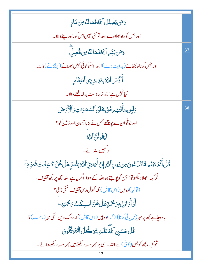| وَمَن يُضْلِلِ ٱللَّهُ فَمَالَهُ مِنْ هَادٍ                                                         |     |
|-----------------------------------------------------------------------------------------------------|-----|
| اور جس کوراہ بھلاوے اللہ   تو کیٔ نہیں اس کوراہ دینے والا۔                                          |     |
| <u>و</u> َمَن يَهُلِ ٱللَّهُ فَمَالَّهُ مِن مُّضِلِّ                                                | .37 |
| اور جس کوراہ تبھائے( ہدایت دے )اللہ ،اسکو کوئی نہیں بھلانے( بھٹکانے )والا۔                          |     |
| ٲڵ <i>ڲ</i> ؘۺٲٮ <sub>ڵۜ</sub> ڟۑؚۼڒؚؠڒؚؚڒۣؽٲڹؾؚڦؘٲڡۭ                                               |     |
| کیانہیں ہے اللہ  زبر دست بدلہ لینے والا۔                                                            |     |
| وَلَبِن سَأَلْتَهُم مَّنۡ خَلَقَ ٱلسَّمَوَاتِ وَٱلۡأَيۡ صَلَ                                        | .38 |
| اور جوتُوان سے <u>ل</u> یو پ <i>چھے <sup>کس نے</sup></i> بنایا آسمان اور زمین کو ؟                  |     |
| لِّيَقُولُنَّ اللَّهُ                                                                               |     |
| توکہیں اللہ نے۔                                                                                     |     |
| ۛٷؙڶٲؘٛڡؘڒٷؿٮ <sub>ؖ۠</sub> ۄۿٵؾؘڶٷڹ؈ۯ؈ٳٲڵڸۅٳۣڹٲؘ؆ٳڒڹؘۣٲڵڷ <i>ڟ</i> ؚڣؚۻ۠ڔۣۜۿڶۿڽۜػۺۣڤؘٮ۠ڞ۠ۻ۠ڔؚۜۊؚۦۜ |     |
| تُو <sub>کہہ</sub> ، بھلاد یکھوتو! جن کو پو جتے ہواللّٰہ کے سِوا،اگر چاہے اللّٰہ مجھ پر کچھ تکلیف،  |     |
| (توكيا)وه بين (اس قابل) كه كھول دين تكليف اسكى ڈالي؟                                                |     |
| ٲٛٙۉٲۧ؆ٳۮڹۣڹؚڒڂۿؘۊؚۿڶۿڽ۠ڷۺڛػٙٮ۠؆ڂۿؾڢ                                                                |     |
| یاوہ چاہے مجھ پر مہر (مہربانی کرنا) (کیا)وہ ہیں (اس قابل) کہ روک دیں اسکی مہر (رحمت)؟               |     |
| قُلْ حَسَّبِيَ ٱللَّهُ عَلَيۡهِ يَتَوَكَّلُ ٱلۡمُّتَوَكِّلُونَ                                      |     |
| تُو کہہ، مجھ کوبس (کافی) ہے اللہ۔اسی پر بھر وسہ رکھتے ہیں بھر وسہ رکھنے والے۔                       |     |
|                                                                                                     |     |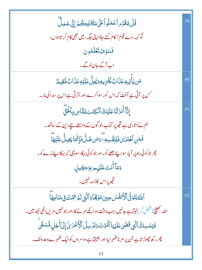| <i>ڐ۠</i> ڶٞؾقؘۯۄؚٱۼڡؘڶۅٲػؘڶ؋ڡؘٲٮؘؾؚػٛؽٙٳؚڹٚؾٷڷۜ                                                | .39 |
|-------------------------------------------------------------------------------------------------|-----|
| تُو کہہ،اے قوم! کام کئے حادَا پنی حگہ، میں بھی کام کر تاہوں،                                    |     |
| فَسَوْفَ تَعْلَمُونَ                                                                            |     |
| اب آگے جان لوگے۔                                                                                |     |
| <b>مَن</b> يَأْتِيهِ عَذَابٌ يُخۡزِيهِ وَيَجِلُّ عَلَيۡهِ عَذَابٌ مُّقِيمٌ                      | .40 |
| کس پر آتی ہے آفت کہ اس کورسواکرے،اوراُتر تی ہے اس پر سدا کی مار۔                                |     |
| ٳ۪ڹۜ۠ٵٙٲٛٮ۬ۯؘڷؽؘٵڡؘڶؽڟڰٲڷڮؾؘڹڶؚڵڹؓٵڛڹؚٲڂؙۘڹۜؖٞ                                                  | .41 |
| ہم نے اُتاری ہے تجھ پر کتاب،لو گوں کے داسطے سچے دین کے ساتھ ۔                                   |     |
| فَمَنِ ٱهۡتَدَىٰٓئِكَ فَلِنَفۡسِهِۦ ۚ وَمَن ضَلَّ فَإِنَّمَاۚ يَضِلُّ عَلَيۡهَآ                 |     |
| چر جو کوئی راہ پر آیا، سواپنے بھلے کو۔اور جو کوئی بہکا، سویہی کہ بہکااپنے بُرے کو۔              |     |
| وَمَآأَنتَ <b>عَلَيْهِم</b> ِ بِوَكِيلٍ                                                         |     |
| تجھ پر اس کاذ مہ نہیں۔                                                                          |     |
| ٱللَّهُ يَتَوَفَّى ٱلۡأَنفُسَ حِينَ مَوۡقِمَاۚ وَٱلَّتِي لَمَ تَمُّتۡ فِى مَنَامِهَآ            | .42 |
| اللہ تھینچ( قبض کر)لیتاہے جانیں، جب وقت ہوائکے مرنے کا،اور جو نہیں مریں اٹکی نیند میں۔          |     |
| فَيْمُسِكُ ٱلَّتِي قَضَىٰ عَلَيۡهَا ٱلۡمَوۡتَ وَيُرۡسِلُ ٱلۡكُٰٓخُرَىٰۤ إِلَىٰٓأَجَلِ مُّسَمًّى |     |
| پھر رکھ چھوڑ تاہے جن پر مر ناٹھہر ایا،اور بھیجتاہے دوسر وں کوایک ٹھہرے وعدہ تک۔                 |     |
| 13                                                                                              |     |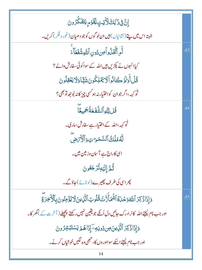| ٳۣڹؖ۠؋ۣۮؘٳڸڰؘڵؘٳؾؾٟڶؚڦٙۯٙۄٟؾڡؘؘػؖۯۅڹ                                                       |     |
|--------------------------------------------------------------------------------------------|-----|
| البته اس میں پتے (نشانیاں) ہیں ان لو گوں کو جو دھیان (غور و فکر) کریں۔                     |     |
| آُمِ ٱتَّخَلُّواُصِ دُونِ ٱللَّهِ شُفَعَآءَ                                                | .43 |
| کیاانہوں نے پکڑیں ہیں اللہ کے سواکوئی سفارش دالے؟                                          |     |
| قُلْ أَوَلَوۡ كَانُواۡ لَا يَمۡلِكُونَ شَيَّاوَلَا يَعۡقِلُونَ                             |     |
| نُو <sub>کهه</sub> ،اگر جوان کواختیار نه ہو <sup>کس</sup> ی چیز کانه بُوجِه تو بھی؟        |     |
| <u>ػؙڶڒڷڸ</u> ۅٱڶۺ۠ۜڣؘۼۘڐۢ <del>ؘۼ</del> ڡۣؠٵؖ                                             | .44 |
| ٹو کہہ،اللہ کے اختیار ہے سفارش ساری۔                                                       |     |
| لَّهُ مُلَكُ ٱلسَّمَرَ تِ وَٱلْأَرَضِ                                                      |     |
| اسی کاراج ہے آسان وزیین میں۔                                                               |     |
| ڐؙ <sub>ڟ</sub> ۜٙٳ۪ٳؽ <sub>ؙٙڲ</sub> ۊ۠ڗ۬ڿ <i>ڂ</i> ۛۏڹؘ                                  |     |
| پھراسی کی طرف پھیرے (لوٹائے)حاؤگے۔                                                         |     |
| وَإِذَاذُكِرَ ٱللَّهُوَحُدَةُ ٱشْمَأَزَّتَ قُلُوبُ ٱلَّذِينَ لَايُؤُمِنُونَ بِٱلْأَخِرَةِ  | .45 |
| اور جب نام کیجئے اللہ کانرا،رک جائیں دل اُنکے جو یقین نہیں رکھتے پچھلے ( آخر ت کے )گھر کا۔ |     |
| <u>وَ</u> إِذَاذُكِرَ ٱلَّذِينَ مِن دُونِهِۦٓ إِذَاهُمۡ يَسۡتَبۡشِرُونَ                    |     |
| اور جب نام کیجئے اسکے سوااوروں کا، تنہھی وہ لگیں خوشیاں کرنے۔                              |     |
| 14                                                                                         |     |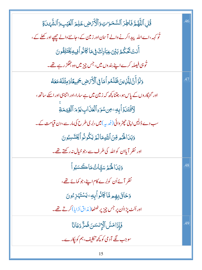| قُلِ ٱللَّهُمَّ فَاطِرَ ٱلسَّمَىَ تِ ٱلْأَمَّ ضِ عَلِمَ ٱلْغَيۡبِ وَٱلشَّهَٰلَةِ  | .46 |
|-----------------------------------------------------------------------------------|-----|
| تُو کہہ،اے اللہ پیداکرنے والے آسان اور زمین کے،حاننے والے چھپے اور کھلے کے،       |     |
| ٲٛۜڹؾؘؿۜٙػؙٛػ۠ٙٙ؉ؚڹٙؾؘ؏ڹٳڂڰڧۣڡؘٵػٲڎؚ۠ٳٲڣۣۑۊڲؘٚؾٙڸڨ۠ۅڽؘ                            |     |
| تُو ہی فیصلہ کرے اپنے بند وں میں، جس چیز میں وہ جھگڑ رہے تھے۔                     |     |
| وَلَوۡ أَنَّ لِلَّذِينَ ظَلَمُواۡ مَاٰ فِى ٱلۡأَرۡصِ جَمِيعًاوَمِثۡلَهُ مَعَهُ    | 47  |
| اور گنہگاروں کے پاس ہو ، جتنا پچھ کہ زمین میں ہے سارا،اور اتناہی اور اسکے ساتھ ،  |     |
| اَدَّفۡتَدَوۡ أَبِهِۦ مِن سُوَءِ ٱلۡعَذَابِ يَوۡمَ ٱلۡقِيَمَةِ                    |     |
| سب دے ڈالیں اپنی چھڑ وائی ( فدیہ ) میں،بُر ی طرح کی مار سے ، دن قیامت کے۔         |     |
| وَبَدَالَهُ هِ مِّنَ ٱللَّهِمَالَيْمِ يَكُونُواْ يَخْتَسِبُونَ                    |     |
| اور نظر آیاان کواللہ کی طرف سے،جوخیال نہ رکھتے تھے۔                               |     |
| وَبَدَالْهُمْ سَيَّاتُ مَاكَسَبُواْ                                               | .48 |
| نظر آئےاُن کوبُرے کام اپنے،جو کمائے تھے،                                          |     |
| <u>وَحَاقَ بِهِم مَّاكَانُوآبِهِۦيَ</u> سۡتَہۡزِۦ۠ <sub>ُ</sub> ونَ               |     |
| اور اُلٹ پڑااُن پر جس چیز پر ٹھٹھا( مذاق اُڑایا) کرتے تھے۔                        |     |
| ڣؘٳؚ <sub>ۘۮٙ</sub> ٳڡؘۺؖٲڷٳٮٚۺ <i>ۜڽؘ</i> ڞؙڗ۠ۜ <sub>ۮ</sub> ڡؘٲڹ <del>ٙ</del> ٵ | .49 |
| سوجب لگے آدمی کو کچھ تکلیف، ہم کو ایکارے۔                                         |     |
| 15                                                                                |     |

٠.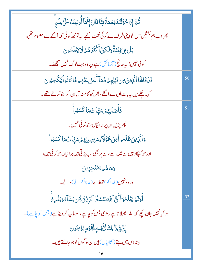| ۛ<br>ڎؙۿ <i>ٙ</i> ٳؚۮؘ <b>ؚٳڂ</b> ؘۊڷٸٙڡ۠ڹۼڡؘۃؑۊڹۜٲۊؘٳڶٳؚڂۜ؆ٲؙٛۅؾؚؠؾؙڡ۠ٵٙڶۣڡؚڶۄۨ          |     |
|-------------------------------------------------------------------------------------------|-----|
| پھر جب ہم بخشیں اس کواپنی طرف سے کوئی نعمت، کہے، یہ تومجھ کوملی کہ آگے سے معلوم تھی،      |     |
| <u>ؠٙڶٙ؋ۣٷؾٛڹٙڐۘ۠ۏڶڮڹ</u> ٞٲؘػۘؿؘڒٙۿ۠ؽٙڶاؾۼؘڶۿۏڹ                                          |     |
| کوئی نہیں! یہ جانچ ( آزمائش ) ہے، پر وہ بہت لوگ نہیں سمجھتے۔                              |     |
| قَلۡقَالَهَاۤٱلَّٰٓلِينَ مِن قَبَٰلِهِمۡ فَمَآ أَغۡنَىٰ عَنۡهُم مَّاكَانُوۡاۡ يَكۡسِبُونَ | .50 |
| کہہ چکے ہیں بیہ بات اُن سے اگلے، پھر پچھ کام نہ آیااُن کو، جو کماتے تھے۔                  |     |
| .<br>فَأَصَابَهُمُ سَيَّاتُ مَا كَسَبُواْ                                                 | .51 |
| <i>چرپڑی</i> ان پر برائیاں،جو کمائی تھیں۔                                                 |     |
| <u>و</u> َٱلَّذِينَ <b>ظَلَمُواۡمِنۡهَؤَلَا</b> ۡءِسَيۡصِيۡبُهُمۡ سَيَّاتُ مَا كَسَبُواۡ  |     |
| اور جو گنہگار ہیں ان میں سے،ان پر بھی اب پڑتی ہیں بر ائیاں جو کمائی ہیں،                  |     |
| وَمَاهُم <i>ِ بَمُغْجِزِ</i> ينَ                                                          |     |
| اور وہ نہیں ( خدا کو) تھ کانے ( عاجز کرنے )والے۔                                          |     |
| أَوَلَمَ يَعۡلَمُوٓأَأَنَّ ٱللَّٰٓ يَبۡسُطُ ٱلرِّرۡ ۚ وَلَٰٓ لِمَن يَشَآءُ وَيَقۡلِ مِّ   | .52 |
| اور کیانہیں جان چکے کہ اللہ پھیلا تاہے روزی جس کوچاہے،اور ماپ کر دیتاہے (جس کوچاہے)۔      |     |
| ٳ۪ڹؖ؋ۣۮؘٳڸڰڷٳۜؾؾٟڶؚڡؖٓۏٙڡۭێؙۯٙڡڹٛۏڹ                                                       |     |
| البته اس میں پتے (نشانیاں) ہیں ان لو گوں کو جو جانتے ہیں۔                                 |     |
| 16                                                                                        |     |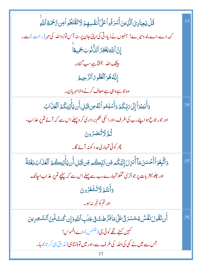| ۛۊ۠ <i>ڶٛ</i> ؾۼؚڹٳۯؚؽؘٱڷؘۜۯؚؠڹؘٲؘۺڒڟؙۅٲٛٙۨٵؘڂؘٲٲۜٮ۫ڨ۫ڛۿؚؽٙڶاؾۘٙقۘڡؘۨڟؙۅٲڝؚ؆ٙڂمؘڐؚٱڷڐۜۅۨ                      | .53 |
|---------------------------------------------------------------------------------------------------------------|-----|
| کہہ دے،اے بند ومیرے! جنہوں نے زیادتی کی اپنی جان پر،نہ آس توڑواللہ کی مہر (رحمت) سے۔                          |     |
| إِنَّ ٱللَّهَ يَغۡفِرُ ٱلنُّاْنُوبَ جَمِيعًا                                                                  |     |
| <mark>بیٹ</mark> ک اللّٰہ بخشاہے سب گناہ۔                                                                     |     |
| إِنَّهُ هُوَ ٱلْغَفُورُ ٱلرَّحِيمُ                                                                            |     |
| وہ جو ہے وہی ہے معاف کرنے والا مہربان۔                                                                        |     |
| وَأَنِيبُوٓ أَإِلَىٰ يَبِّكُمُ وَأَسۡلِمُو ٱلۡهُ مِن قَبَلِ أَن يَأۡلِيَكُمُ ٱلۡعَذَابُ                       | .54 |
| اور جور جوع ہوا پنے رب کی طرف،اور اسکی حکم بر داری کر و پہلے اس سے کہ آئے تم پر عذاب،                         |     |
| تُمَّرَّرْتُنصَّرُونَ                                                                                         |     |
| پھر کوئی تمہاری مد د کونہ آئے گا۔                                                                             |     |
| وَٱتَّبِعُوَٱأَحۡسَنَمَاۤ أُنزِلَ إِلَيۡكُم مِّن تَّابِّڪُم مِّن قَبَٰلِ أَن يَأۡنِيَڪُمُ ٱلۡعَذَابُ بَغۡتَةً | .55 |
| اور چلو بہتر بات پر جواُنری تمکو تمہارے رب سے پہلے اس سے کہ پہنچے تم پر عذاب اچانک                            |     |
| وَأَنْتُمُ لَاتَشْعُرُونَ                                                                                     |     |
| اور تم کوخبر نه ہو۔                                                                                           |     |
| أَن تَقُولَ نَفَسٌ يَحَسَّرَ تَىٰ عَلَىٰ مَافَرَّ طِتْ فِى جَنْبِ ٱللَّهِوَإِن كُنتُ لَمِنَ ٱلسَّحِرِينَ      | .56 |
| گہیں <del>کہ</del> نے لگے کوئی جی(متنفس)،اےافسوس!                                                             |     |
| جس سے میں نے کمی کی اللہ کی طرف سے،اور میں توہنستاہی( مذاق ہی کرتا)رہا۔                                       |     |
|                                                                                                               |     |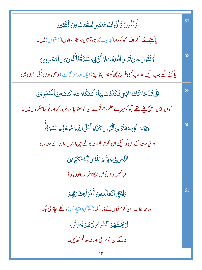| آَوۡ تَقُولَلۡ ۚ أَنَّ ٱللَّهَ هَدَانِي لَكُنتُ مِنَ ٱلۡٱيَّقِينَ                                         | .57 |
|-----------------------------------------------------------------------------------------------------------|-----|
| یا کہنے لگے،اگر اللہ مجھ کوراہ(ہدایت)دیتا،تومیں ہو تاڈر والوں(متقیوں) میں۔                                |     |
| أَوۡ تَقُولَ حِينَ تَرَى ٱلۡعَذَابَ لَوۡ أَنَّ لِى كَرَّةًۚ فَأَكُونَ مِنَ ٱلۡمُحۡسِنِينَ                 | .58 |
| یا کہنے لگے جب دیکھے عذاب <i>کسی طرح مجھ کو پھر</i> جانا ہے (ایک اور موقع ملے ) تومیں ہوں نیکی والوں میں۔ |     |
| بَلَىٰ قَنْ جَآءَتُكَ ءَايَتِي فَكَنَّ بُتَ بِهَاوَٱسۡتَكۡبَرۡتَ وَكُنتَ مِنَ ٱلۡكَفِرِينَ                | .59 |
| کیوں نہیں! پہنچ چکے تھے تجھ کومیرے حکم، پھر تُونے ان کو حٖھٹلا یااور غر ور کیااور تُو تھامنکر وں میں۔     |     |
| <b>وَيَزۡمَ ٱلۡقِيَّـمَـٰٓتِنَ</b> ٓىَ ٱلَّٰٓنِينَ كَذَٰبُو ٱعَلَى ٱللَّهِ وُجُوهُهُمِ مُّسۡوَدَّةٌۚ      | .60 |
| اور قیامت کے دن تُو دیکھے ان کو جو حجھوٹ بولتے ہیں اللہ پر،ان کے منہ سیاہ۔                                |     |
| ؚٵٞڶ <i>ؽؙٙ</i> ڛؘ؈ۣ۫ڿۿٮۜ۠ٙٙؽؘۄؘڡؘؿۘ۬ۘٷۑڵۣڷڡ۠ؾؘػؠؚۨ۠ڔؚؠڹؘ                                                 |     |
| کیانہیں دوزخ میں ٹھ <mark>کاناغر ور والوں کو</mark> ؟                                                     |     |
| وَيُنَجِّى ٱللَّهُ ٱلَّٰٓنِينَ ٱتَّقَوۡ أَبِمَفَازَهِٚمَرَ                                                | .61 |
| اور بچائیگااللہ ان کو جنہوں نے ڈرر کھا( تقوٰی احتیار کیا)،انکے بچاؤ کی جگہ،                               |     |
| لَايَمَسُّهُمُ ٱلسُّوَءُوَلَاهُمۡ يَحۡزَنُونَ                                                             |     |
| نہ لگے ان کو برائی،اور نہ وہ غم کھائیں۔                                                                   |     |
| 18                                                                                                        |     |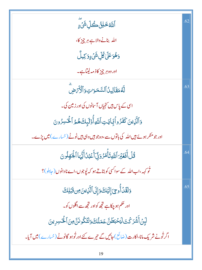| ٱللَّهُ خَلِقُ كُلِّ شَيْءٍ                                                               | .62 |
|-------------------------------------------------------------------------------------------|-----|
| الله بنانے والاہے ہر چیز کا،                                                              |     |
| <mark>ۏۿؙۏػڶ</mark> ڸڴڸۨۺ <i>ؽ۬ۦٟ</i> ۣۏٙڬۣۑڵٛ                                            |     |
| اور وہ ہر چیز کاذ مہ لیتاہے۔                                                              |     |
| لَّهُمَقَالِينُ ٱلسَّمَىِّ تِ وَٱلۡأَرۡضَ                                                 | .63 |
| اسی کے پاس ہیں <i>کنجیاں آسانوں کی اور زمین کی۔</i>                                       |     |
| وَٱلَّذِينَ كَفَرُواْبَجَايَتِٱللَّهِأَوۡلَٰٓئِكَ هُمُ ٱلۡۡكَسِرُونَ                      |     |
| اور جو منکر ہوئے ہیں اللہ کی باتوں سے،وہ جو ہیں وہی ہیں ٹوٹے (خسارے) میں پڑے۔             |     |
| <b>ٙ<br/>قُلۡ أَفَغَيۡرَ ٱللَّهِ تَأۡمُرُ وَنِّىٓ أَعۡمُلُ أَيُّهَا ٱلۡمَوْلُونَ</b>      | .64 |
| ٹو کہہ،اب اللہ کے سوا <sup>کس</sup> ی کو بتاتے ہو کہ <u>ل</u> ُوجوں،اے نادانوں ( جاہلو )؟ |     |
| وَلَقَدۡ أُوحِىَ إِلَيۡكَ وَإِلَى ٱلَّذِينَ مِن قَبۡلِكَ                                  | .65 |
| اور حکم ہو چکاہے تجھ کواور تجھ سے اگلوں کو۔                                               |     |
| لَبِنْ أَشَرَكْتَ لَيَحْبَطَنَّ عَمَلُكَ وَلَتَكُونَنَّ مِنَ ٱلْخَسِرِينَ                 |     |
| اگر تُونے شریک مانا،اکارت (ضائع) جائیں گے تیرے کئے اور تُوہو گاٹوٹے (خیارے) میں آیا۔      |     |
| 19                                                                                        |     |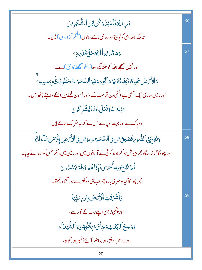| بَلِ ٱللَّهَ فَٱعۡبُلۡ وَكُن مِّنَ ٱلشَّكِرِينَ                                                       | .66 |
|-------------------------------------------------------------------------------------------------------|-----|
| نہ بلکہ اللہ ہی کو <sub>ل</sub> ُوٍج اور رہ حق ماننے والوں ( شُکر گزاروں <b>) می</b> ں۔               |     |
| وَمَا قَدَىُ والْاللَّ <del>اءَ حَقَّ ق</del> َدَّى وَ                                                | .67 |
| اور نہیں سمجھے اللہ کو جتنا پچھ وہ (اسکو سمجھنے کاحق) ہے۔                                             |     |
| <u>و</u> َٱلۡأَرۡصُ جَمِيعًاقَبۡضَتُهُ يَوۡمَ ٱلۡقِيۡمَةِوَٱلسَّمَوَاتُ مَطۡوِيَّـتُّ بِيَمِينِهِۦ    |     |
| اور زمین ساری ایک مٹھی ہے اسکی دن قیامت کے ،اور آسان لیٹے ہیں اسکے داننے ہاتھ میں۔                    |     |
| ۺڹػڹؘڡ۠ۏ <b>ؘتؘڂ</b> ڶۣ؏ؘۿٵؽ۠ۺٞڔػٛۅڽؘ                                                                 |     |
| وہ پاک ہے اور بہت اوپر ہے اس سے کہ بیہ شریک بتاتے ہیں                                                 |     |
| وَنُفِخَوْ ٱلصُّوبِ فَصَعِنَ مَن فِى ٱلسَّمَىَ لَتَ مَنْ فِى ٱلْأَمَضِ إِلَّا مَن شَأَءَ ٱللَّهَ      | .68 |
| اور پھو نکا گیانر سنگا، پھر بیہوش ہو گر ا،جو کوئی ہے آسانوں میں اور زمین میں ، مگر جس کواللہ نے چاہا۔ |     |
| ڐۢ <sub>ڟ</sub> ۜٙڟ۫ۼؘ؋ؚۑڮٲؙڂۘۯێ؋ؘٳؚؚۮؘٳۿ۠ <sub>ۿ</sub> ۊؚؾٵ <i>ۄ۠</i> ؾٮڟۢۯۅڽ                        |     |
| کچر کچو نکا گیادوسر کی بار ، کچر تب ہی وہ کھڑے ہو گئے دیکھتے۔                                         |     |
| وَأَشْرَقَتِ ٱلْأَرَّصُ بِنُوسِ رَبِّهَا                                                              | .69 |
| اور چمکی زمین اپنے رب کے نور سے ،                                                                     |     |
| <u>و</u> َوْضِعَ ٱلۡكِتَبُ وَجِأۡىَءَبِٱلنَّبِيُّنَ وَٱلشَّٰهَارَاءِ                                  |     |
| اور لا د حر اد فتر ،اور حاضر آئے پیغمبر اور گواہ،                                                     |     |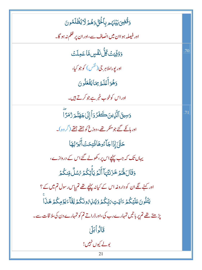| <u>وَقُّضِىَ بَيۡ</u> نَهُم بِٱلۡخَقِّ وَهُمۡ لَا یُظۡلَمُونَ                      |     |
|------------------------------------------------------------------------------------|-----|
| اور فیصلہ ہو اان میں انصاف سے،اور ان پر ظلم نہ ہو گا۔                              |     |
| <u>وَوُفِّيَتُ كُلُّ نَفْسٍ</u> مَّا عَمِلَتُ                                      | .70 |
| اور يوراملا ہر جی ( <sup>نفس</sup> ) کوجو کیا،                                     |     |
| وَهُوَأَعۡلَمُ بِمَايَفۡعَلُونَ                                                    |     |
| اوراس کوخوب خ <u>بر ہے جو کرتے ہیں</u> ۔                                           |     |
| <u>وَ</u> سِيقَٱلَّذِينَڪَفَدُوٓٱٳلَىٰجَهَنَّـمَرَدُّمَرَّآ                        | .71 |
| اور ہانکے گئے جو منکر تھے، دوزخ کو جتھے جتھے (گروہ)۔                               |     |
| حَتَّىٰٓ إِذَاجَآءُوهَاؤُتِحَتَّآ أَبَوَابُهَا                                     |     |
| یہاں تک کہ جب پہنچے اس پر ، کھولے گئے اس کے دروازے،                                |     |
| <b>وَقَالَ هُمُ خَزَنَتُهَآ أَلَمۡ يَأۡتِكُمۡ</b> رُسُلٌ مِّنكُمۡ                  |     |
| اور کہنے لگے ان کو داروغہ اس کے کیانہ پہنچے تھے تم پاس رسول تم میں کے ؟            |     |
| يَتُلُونَ عَلَيْكُمُ ءَايَتِ يَبِّكُمُ وَيُنْزِهُ ونَكُمُ لِقَآءَ يَوۡمِكُمۡ هَذَا |     |
| یڑھتے تھے تم پر باتیں تمہارے رب کی،اور ڈراتے تم کو تمہارے دن کی ملا قات سے۔        |     |
| قَالُو أَبَلَيْ                                                                    |     |
| بولے کیوں نہیں!<br>21                                                              |     |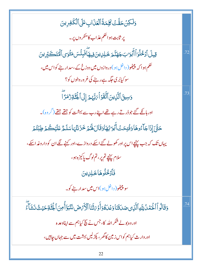وَلَكِنۡ حَقَّتۡ وَلِمَةُ ٱلۡعَٰزَابِ عَلَى ٱلۡكَٰفِرِينَ یر ثابت ہوا حکم عذاب کامنکروں پر۔ **ِقِيلَ ٱدۡخُلُوَٱٲٓبَوَابَجَهَنَّجَ خَلِلِينَ فِيهَٲؖفَبِئُسَ مَثۡوَىٱلۡنَّقَـكَبِّرِينَ** .72 حکم ہوا کہ پلیٹھو( داخل ہو ) دروازوں میں دوزخ کے ،سدار بنے کواس میں ، سو کیابُر کی جگہ ہے رہنے کی غرور والوں کو؟ وَسِيقَ ٱلَّذِينَ ٱتَّقَوۡ أَيَٰٓ بَهُمۡ إِلَى ٱلۡٓ يَٰٓ وَٰٓ وَٰٓ لَّا .73 اور ہانکے گئے جوڈرتے رہے تھے اپنے رب سے بہشت کو جتھے جتھے (گروہ)۔ ڂۊٞ*ٙ*ٙٳٳؘٳ۬ڂٳۜۦٚٛۏۿٲۏڡؙٛؾؚڂؾؙٲؘڹۘۏ<sup>ڔ</sup>۠ۿٲۏؘڤؘٳڶۿ۠ۮڿڂۯؘٮٚؿ۠ؠؘٲڛؘڶۿؚ۠ڡؘڶؽ۬ڴؽ۫ڟۭڹٛؾ۠ؽ۫ یہاں تک کہ جب پہنیچےاس پر اور کھولے گئے اسکے دروازے،اور کہنے لگے ان کو داروغہ اسکے، سلام پہنچے تم پر ، تم لوگ پاکیزہ ہو، فَأَدْخُلُوهَا خَلِلِينَ سو پلیٹھو( داخل ہو )اس میں سدار ہنے کو۔ وَقَالُواْ اَلْحَمَٰلُ لِلَّهِ اَلَّذِى صَدَقَنَا وَعَدَهُ وَأَوۡ رَقۡنَا ٱلۡأَرۡمَضَ نَتَبَوَّأُۚ مِنَ اَلۡجَنَّاتِهَ حَيۡثُ نَشَآءٌ .74 اور وہ یو لے شکر اللہ کا، جس نے سچ کیاہم سے اپناوعد ہ اور وارث کیاہم کو اس زمین کا*گھر* ، پکڑلیں بہشت میں سے جہاں جاہیں ، 22